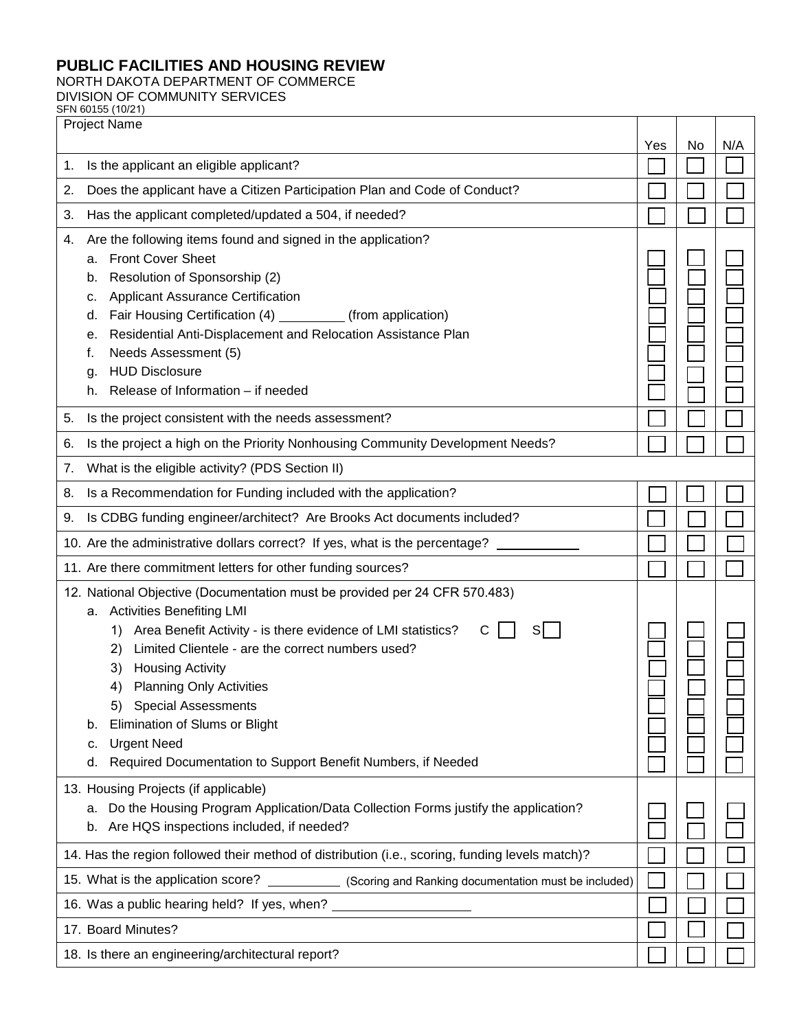## **PUBLIC FACILITIES AND HOUSING REVIEW**

NORTH DAKOTA DEPARTMENT OF COMMERCE

DIVISION OF COMMUNITY SERVICES

|                                                                                  | SFN 60155 (10/21)                                                                                       |     |    |     |
|----------------------------------------------------------------------------------|---------------------------------------------------------------------------------------------------------|-----|----|-----|
| <b>Project Name</b>                                                              |                                                                                                         | Yes | No | N/A |
| 1.                                                                               | Is the applicant an eligible applicant?                                                                 |     |    |     |
| 2.                                                                               | Does the applicant have a Citizen Participation Plan and Code of Conduct?                               |     |    |     |
| 3.                                                                               | Has the applicant completed/updated a 504, if needed?                                                   |     |    |     |
| 4.                                                                               | Are the following items found and signed in the application?<br><b>Front Cover Sheet</b><br>a.          |     |    |     |
|                                                                                  | Resolution of Sponsorship (2)<br>b.                                                                     |     |    |     |
|                                                                                  | <b>Applicant Assurance Certification</b><br>с.                                                          |     |    |     |
|                                                                                  | Fair Housing Certification (4) ___________ (from application)<br>d.                                     |     |    |     |
|                                                                                  | Residential Anti-Displacement and Relocation Assistance Plan<br>е.                                      |     |    |     |
|                                                                                  | Needs Assessment (5)<br>f.                                                                              |     |    |     |
|                                                                                  | <b>HUD Disclosure</b><br>g.<br>Release of Information - if needed<br>h.                                 |     |    |     |
|                                                                                  |                                                                                                         |     |    |     |
| 5.                                                                               | Is the project consistent with the needs assessment?                                                    |     |    |     |
| 6.                                                                               | Is the project a high on the Priority Nonhousing Community Development Needs?                           |     |    |     |
| 7.                                                                               | What is the eligible activity? (PDS Section II)                                                         |     |    |     |
| 8.                                                                               | Is a Recommendation for Funding included with the application?                                          |     |    |     |
| 9.                                                                               | Is CDBG funding engineer/architect? Are Brooks Act documents included?                                  |     |    |     |
|                                                                                  | 10. Are the administrative dollars correct? If yes, what is the percentage?                             |     |    |     |
|                                                                                  | 11. Are there commitment letters for other funding sources?                                             |     |    |     |
|                                                                                  | 12. National Objective (Documentation must be provided per 24 CFR 570.483)                              |     |    |     |
|                                                                                  | a. Activities Benefiting LMI<br>Area Benefit Activity - is there evidence of LMI statistics?<br>С<br>1) |     |    |     |
|                                                                                  | Limited Clientele - are the correct numbers used?<br>2)                                                 |     |    |     |
|                                                                                  | <b>Housing Activity</b><br>3)                                                                           |     |    |     |
|                                                                                  | 4)<br><b>Planning Only Activities</b>                                                                   |     |    |     |
|                                                                                  | 5) Special Assessments                                                                                  |     |    |     |
|                                                                                  | Elimination of Slums or Blight<br>b.                                                                    |     |    |     |
|                                                                                  | <b>Urgent Need</b><br>C.                                                                                |     |    |     |
|                                                                                  | Required Documentation to Support Benefit Numbers, if Needed<br>d.                                      |     |    |     |
|                                                                                  | 13. Housing Projects (if applicable)                                                                    |     |    |     |
|                                                                                  | Do the Housing Program Application/Data Collection Forms justify the application?<br>а.                 |     |    |     |
|                                                                                  | Are HQS inspections included, if needed?<br>b.                                                          |     |    |     |
|                                                                                  | 14. Has the region followed their method of distribution (i.e., scoring, funding levels match)?         |     |    |     |
|                                                                                  | 15. What is the application score?<br>(Scoring and Ranking documentation must be included)              |     |    |     |
| 16. Was a public hearing held? If yes, when? ___________________________________ |                                                                                                         |     |    |     |
| 17. Board Minutes?                                                               |                                                                                                         |     |    |     |
|                                                                                  | 18. Is there an engineering/architectural report?                                                       |     |    |     |